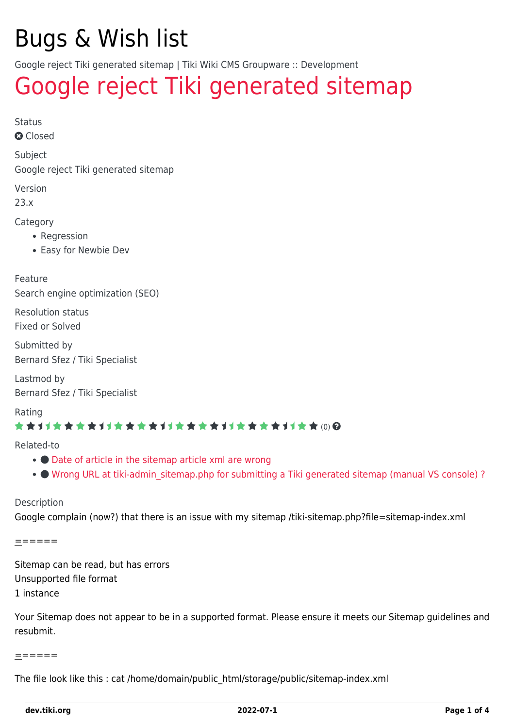# Bugs & Wish list

Google reject Tiki generated sitemap | Tiki Wiki CMS Groupware :: Development

# [Google reject Tiki generated sitemap](https://dev.tiki.org/item7825-Google-reject-Tiki-generated-sitemap)

Status

**a** Closed

Subject

Google reject Tiki generated sitemap

Version

23.x

Category

- Regression
- Easy for Newbie Dev

Feature Search engine optimization (SEO)

Resolution status Fixed or Solved

Submitted by Bernard Sfez / Tiki Specialist

Lastmod by Bernard Sfez / Tiki Specialist

Rating

### \*\*\*\*\*\*\*\*\*\*\*\*\*\*\*\*\*\*\*\*\*\*\*\*\*\*\*\*\*\*

Related-to

- $\bullet$  [Date of article in the sitemap article xml are wrong](https://dev.tiki.org/item7971-Date-of-article-in-the-sitemap-article-xml-are-wrong)
- . [Wrong URL at tiki-admin\\_sitemap.php for submitting a Tiki generated sitemap \(manual VS console\) ?](https://dev.tiki.org/item7972-Wrong-URL-at-tiki-admin_sitemap-php-for-submitting-a-Tiki-generated-sitemap-manual-VS-console)

Description

Google complain (now?) that there is an issue with my sitemap /tiki-sitemap.php?file=sitemap-index.xml

======

Sitemap can be read, but has errors Unsupported file format 1 instance

Your Sitemap does not appear to be in a supported format. Please ensure it meets our Sitemap guidelines and resubmit.

#### ======

The file look like this : cat /home/domain/public\_html/storage/public/sitemap-index.xml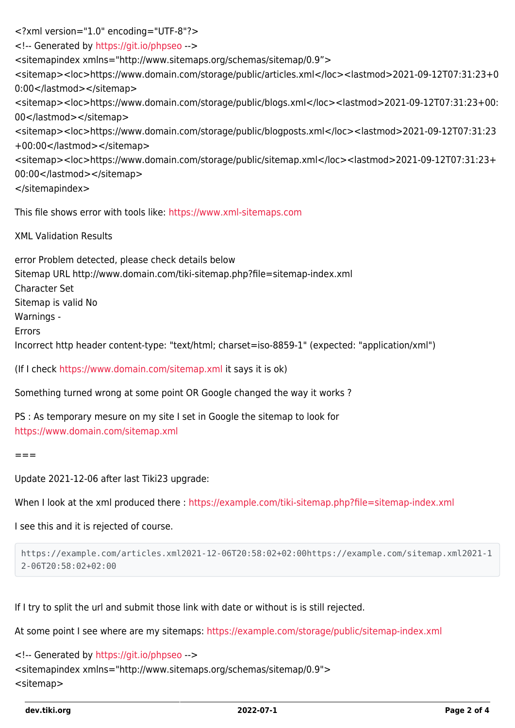<?xml version="1.0" encoding="UTF-8"?> <!-- Generated by <https://git.io/phpseo> --> <sitemapindex xmlns="http://www.sitemaps.org/schemas/sitemap/0.9"> <sitemap><loc>https://www.domain.com/storage/public/articles.xml</loc><lastmod>2021-09-12T07:31:23+0 0:00</lastmod></sitemap> <sitemap><loc>https://www.domain.com/storage/public/blogs.xml</loc><lastmod>2021-09-12T07:31:23+00: 00</lastmod></sitemap> <sitemap><loc>https://www.domain.com/storage/public/blogposts.xml</loc><lastmod>2021-09-12T07:31:23 +00:00</lastmod></sitemap> <sitemap><loc>https://www.domain.com/storage/public/sitemap.xml</loc><lastmod>2021-09-12T07:31:23+ 00:00</lastmod></sitemap> </sitemapindex> This file shows error with tools like:<https://www.xml-sitemaps.com>

XML Validation Results

error Problem detected, please check details below Sitemap URL http://www.domain.com/tiki-sitemap.php?file=sitemap-index.xml Character Set Sitemap is valid No Warnings - Errors Incorrect http header content-type: "text/html; charset=iso-8859-1" (expected: "application/xml")

(If I check <https://www.domain.com/sitemap.xml>it says it is ok)

Something turned wrong at some point OR Google changed the way it works ?

PS : As temporary mesure on my site I set in Google the sitemap to look for <https://www.domain.com/sitemap.xml>

 $=$   $=$   $=$ 

Update 2021-12-06 after last Tiki23 upgrade:

When I look at the xml produced there :<https://example.com/tiki-sitemap.php?file=sitemap-index.xml>

I see this and it is rejected of course.

```
https://example.com/articles.xml2021-12-06T20:58:02+02:00https://example.com/sitemap.xml2021-1
2-06T20:58:02+02:00
```
If I try to split the url and submit those link with date or without is is still rejected.

At some point I see where are my sitemaps:<https://example.com/storage/public/sitemap-index.xml>

<!-- Generated by <https://git.io/phpseo> --> <sitemapindex xmlns="http://www.sitemaps.org/schemas/sitemap/0.9"> <sitemap>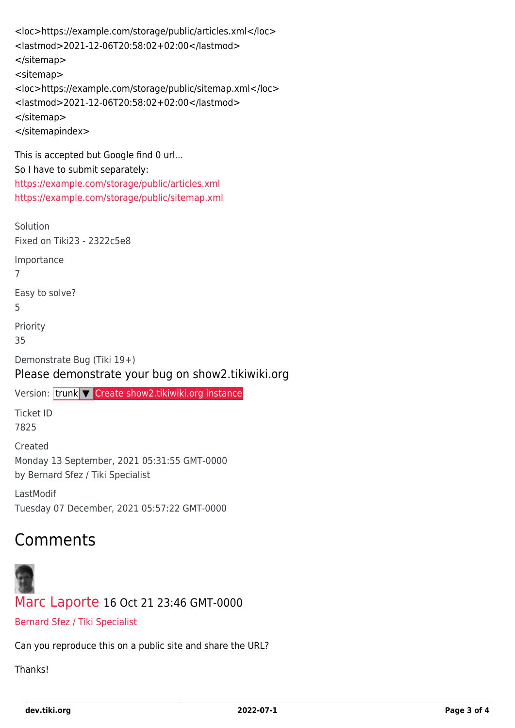```
<loc>https://example.com/storage/public/articles.xml</loc>
<lastmod>2021-12-06T20:58:02+02:00</lastmod>
</sitemap>
<sitemap>
<loc>https://example.com/storage/public/sitemap.xml</loc>
<lastmod>2021-12-06T20:58:02+02:00</lastmod>
</sitemap>
</sitemapindex>
```
This is accepted but Google find 0 url... So I have to submit separately: <https://example.com/storage/public/articles.xml> <https://example.com/storage/public/sitemap.xml>

Solution Fixed on Tiki23 - 2322c5e8 Importance 7 Easy to solve? 5 Priority 35

Demonstrate Bug (Tiki 19+) Please demonstrate your bug on show2.tikiwiki.org

```
Create show2.tikiwiki.org instance
```
Ticket ID 7825

Created Monday 13 September, 2021 05:31:55 GMT-0000 by Bernard Sfez / Tiki Specialist

LastModif Tuesday 07 December, 2021 05:57:22 GMT-0000

## Comments



[Marc Laporte](https://dev.tiki.org/user11197) 16 Oct 21 23:46 GMT-0000

[Bernard Sfez / Tiki Specialist](https://dev.tiki.org/user11581)

Can you reproduce this on a public site and share the URL?

**Thanks!**